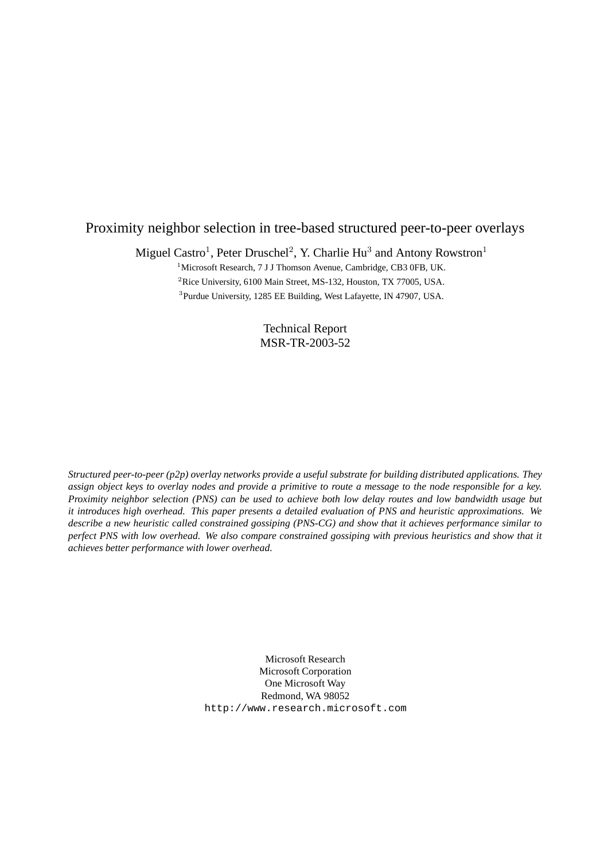# Proximity neighbor selection in tree-based structured peer-to-peer overlays

Miguel Castro<sup>1</sup>, Peter Druschel<sup>2</sup>, Y. Charlie Hu<sup>3</sup> and Antony Rowstron<sup>1</sup>

<sup>1</sup>Microsoft Research, 7 J J Thomson Avenue, Cambridge, CB3 0FB, UK. <sup>2</sup>Rice University, 6100 Main Street, MS-132, Houston, TX 77005, USA.

<sup>3</sup>Purdue University, 1285 EE Building, West Lafayette, IN 47907, USA.

## Technical Report MSR-TR-2003-52

*Structured peer-to-peer (p2p) overlay networks provide a useful substrate for building distributed applications. They* assign object keys to overlay nodes and provide a primitive to route a message to the node responsible for a key. Proximity neighbor selection (PNS) can be used to achieve both low delay routes and low bandwidth usage but *it introduces high overhead. This paper presents a detailed evaluation of PNS and heuristic approximations. We describe a new heuristic called constrained gossiping (PNS-CG) and show that it achieves performance similar to* perfect PNS with low overhead. We also compare constrained gossiping with previous heuristics and show that it *achieves better performance with lower overhead.*

> Microsoft Research Microsoft Corporation One Microsoft Way Redmond, WA 98052 http://www.research.microsoft.com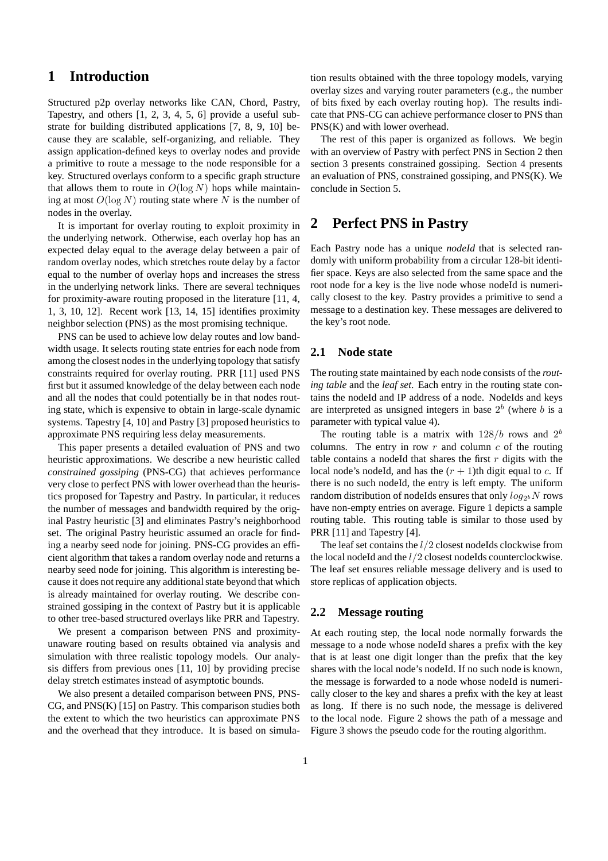# **1 Introduction**

Structured p2p overlay networks like CAN, Chord, Pastry, Tapestry, and others [1, 2, 3, 4, 5, 6] provide a useful substrate for building distributed applications [7, 8, 9, 10] because they are scalable, self-organizing, and reliable. They assign application-defined keys to overlay nodes and provide a primitive to route a message to the node responsible for a key. Structured overlays conform to a specific graph structure that allows them to route in  $O(\log N)$  hops while maintaining at most  $O(\log N)$  routing state where N is the number of nodes in the overlay.

It is important for overlay routing to exploit proximity in the underlying network. Otherwise, each overlay hop has an expected delay equal to the average delay between a pair of random overlay nodes, which stretches route delay by a factor equal to the number of overlay hops and increases the stress in the underlying network links. There are several techniques for proximity-aware routing proposed in the literature [11, 4, 1, 3, 10, 12]. Recent work [13, 14, 15] identifies proximity neighbor selection (PNS) as the most promising technique.

PNS can be used to achieve low delay routes and low bandwidth usage. It selects routing state entries for each node from among the closest nodesin the underlying topology that satisfy constraints required for overlay routing. PRR [11] used PNS first but it assumed knowledge of the delay between each node and all the nodes that could potentially be in that nodes routing state, which is expensive to obtain in large-scale dynamic systems. Tapestry [4, 10] and Pastry [3] proposed heuristics to approximate PNS requiring less delay measurements.

This paper presents a detailed evaluation of PNS and two heuristic approximations. We describe a new heuristic called *constrained gossiping* (PNS-CG) that achieves performance very close to perfect PNS with lower overhead than the heuristics proposed for Tapestry and Pastry. In particular, it reduces the number of messages and bandwidth required by the original Pastry heuristic [3] and eliminates Pastry's neighborhood set. The original Pastry heuristic assumed an oracle for finding a nearby seed node for joining. PNS-CG provides an efficient algorithm that takes a random overlay node and returns a nearby seed node for joining. This algorithm is interesting because it does not require any additional state beyond that which is already maintained for overlay routing. We describe constrained gossiping in the context of Pastry but it is applicable to other tree-based structured overlays like PRR and Tapestry.

We present a comparison between PNS and proximityunaware routing based on results obtained via analysis and simulation with three realistic topology models. Our analysis differs from previous ones [11, 10] by providing precise delay stretch estimates instead of asymptotic bounds.

We also present a detailed comparison between PNS, PNS-CG, and PNS(K) [15] on Pastry. This comparison studies both the extent to which the two heuristics can approximate PNS and the overhead that they introduce. It is based on simulation results obtained with the three topology models, varying overlay sizes and varying router parameters (e.g., the number of bits fixed by each overlay routing hop). The results indicate that PNS-CG can achieve performance closer to PNS than PNS(K) and with lower overhead.

The rest of this paper is organized as follows. We begin with an overview of Pastry with perfect PNS in Section 2 then section 3 presents constrained gossiping. Section 4 presents an evaluation of PNS, constrained gossiping, and PNS(K). We conclude in Section 5.

## **2 Perfect PNS in Pastry**

Each Pastry node has a unique *nodeId* that is selected randomly with uniform probability from a circular 128-bit identifier space. Keys are also selected from the same space and the root node for a key is the live node whose nodeId is numerically closest to the key. Pastry provides a primitive to send a message to a destination key. These messages are delivered to the key's root node.

## **2.1 Node state**

The routing state maintained by each node consists of the *routing table* and the *leaf set*. Each entry in the routing state contains the nodeId and IP address of a node. NodeIds and keys are interpreted as unsigned integers in base  $2<sup>b</sup>$  (where b is a parameter with typical value 4).

The routing table is a matrix with  $128/b$  rows and  $2<sup>b</sup>$ columns. The entry in row  $r$  and column  $c$  of the routing table contains a nodeId that shares the first  $r$  digits with the local node's nodeId, and has the  $(r + 1)$ th digit equal to c. If there is no such nodeId, the entry is left empty. The uniform random distribution of nodeIds ensures that only  $log_{2b}N$  rows have non-empty entries on average. Figure 1 depicts a sample routing table. This routing table is similar to those used by PRR [11] and Tapestry [4].

The leaf set contains the  $l/2$  closest nodeIds clockwise from the local nodeId and the  $l/2$  closest nodeIds counterclockwise. The leaf set ensures reliable message delivery and is used to store replicas of application objects.

## **2.2 Message routing**

At each routing step, the local node normally forwards the message to a node whose nodeId shares a prefix with the key that is at least one digit longer than the prefix that the key shares with the local node's nodeId. If no such node is known, the message is forwarded to a node whose nodeId is numerically closer to the key and shares a prefix with the key at least as long. If there is no such node, the message is delivered to the local node. Figure 2 shows the path of a message and Figure 3 shows the pseudo code for the routing algorithm.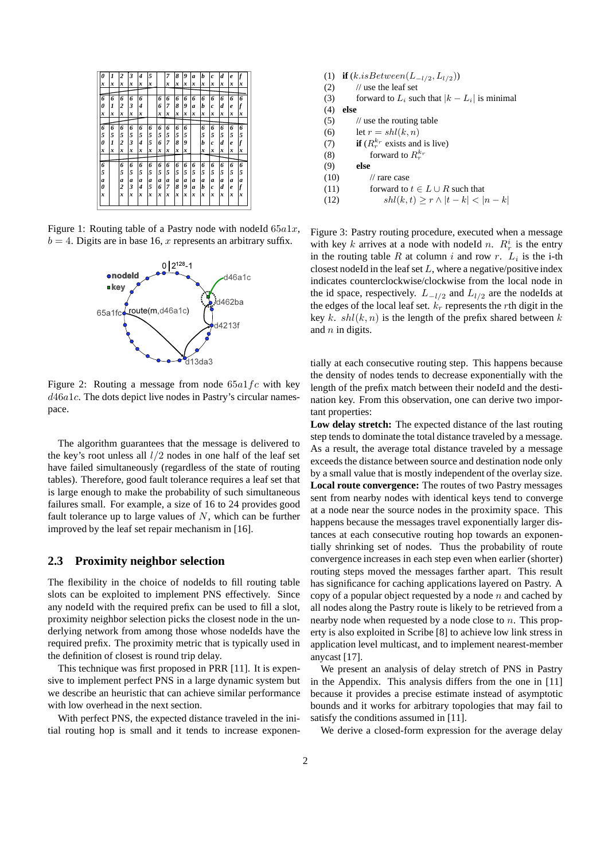| $\boldsymbol{\theta}$ | 1              | 2                       | 3 | 4                | 5 |   | 7              | 8 | 9 | a                | b | $\pmb{c}$        | d                | e |                  |
|-----------------------|----------------|-------------------------|---|------------------|---|---|----------------|---|---|------------------|---|------------------|------------------|---|------------------|
| x                     | x              | x                       | x | x                | x |   | x              | x | x | x                | x | x                | x                | x | x                |
|                       |                |                         |   |                  |   |   |                |   |   |                  |   |                  |                  |   |                  |
| 6                     | 6              | 6                       | 6 | 6                |   | 6 | 6              | 6 | 6 | 6                | 6 | 6                | 6                | 6 | 6                |
| 0                     | $\mathbf{I}$   | $\overline{\mathbf{c}}$ | 3 | 4                |   | 6 | $\overline{7}$ | 8 | 9 | $\boldsymbol{a}$ | b | c                | $\boldsymbol{d}$ | e |                  |
| x                     | x              | x                       | x | x                |   | x | x              | x | x | x                | x | x                | x                | x | x                |
|                       |                |                         |   |                  |   |   |                |   |   |                  |   |                  |                  |   |                  |
| 6                     | 6              | 6                       | 6 | 6                | 6 | 6 | 6              | 6 | 6 |                  | 6 | 6                | 6                | 6 | 6                |
| 5                     | 5              | 5                       | 5 | 5                | 5 | 5 | 5              | 5 | 5 |                  | 5 | 5                | 5                | 5 | 5                |
| $\boldsymbol{\theta}$ | $\overline{I}$ | $\overline{\mathbf{c}}$ | 3 | 4                | 5 | 6 | $\overline{7}$ | 8 | 9 |                  | b | $\mathbf{c}$     | $\boldsymbol{d}$ | e | f                |
| x                     | x              | x                       | x | x                | x | x | x              | x | x |                  | x | x                | x                | x | x                |
|                       |                |                         |   |                  |   |   |                |   |   |                  |   |                  |                  |   |                  |
| 6                     |                | 6                       | 6 | 6                | 6 | 6 | 6              | 6 | 6 | 6                | 6 | 6                | 6                | 6 | 6                |
| 5                     |                | 5                       | 5 | 5                | 5 | 5 | 5              | 5 | 5 | 5                | 5 | 5                | 5                | 5 | 5                |
| $\boldsymbol{a}$      |                | $\boldsymbol{a}$        | a | $\boldsymbol{a}$ | a | a | a              | a | a | $\boldsymbol{a}$ | a | $\boldsymbol{a}$ | a                | a | $\boldsymbol{a}$ |
| $\boldsymbol{\theta}$ |                | $\overline{\mathbf{c}}$ | 3 | 4                | 5 | 6 | $\overline{7}$ | 8 | 9 | $\boldsymbol{a}$ | b | c                | $\boldsymbol{d}$ | e | f                |
| x                     |                | x                       | x | x                | x | x | x              | x | x | x                | x | x                | x                | x | x                |
|                       |                |                         |   |                  |   |   |                |   |   |                  |   |                  |                  |   |                  |

Figure 1: Routing table of a Pastry node with nodeId  $65a1x$ ,  $b = 4$ . Digits are in base 16, x represents an arbitrary suffix.



Figure 2: Routing a message from node  $65a1fc$  with key  $d46a1c$ . The dots depict live nodes in Pastry's circular namespace.

The algorithm guarantees that the message is delivered to the key's root unless all  $l/2$  nodes in one half of the leaf set have failed simultaneously (regardless of the state of routing tables). Therefore, good fault tolerance requires a leaf set that is large enough to make the probability of such simultaneous failures small. For example, a size of 16 to 24 provides good fault tolerance up to large values of  $N$ , which can be further improved by the leaf set repair mechanism in [16].

#### **2.3 Proximity neighbor selection**

The flexibility in the choice of nodeIds to fill routing table slots can be exploited to implement PNS effectively. Since any nodeId with the required prefix can be used to fill a slot, proximity neighbor selection picks the closest node in the underlying network from among those whose nodeIds have the required prefix. The proximity metric that is typically used in the definition of closest is round trip delay.

This technique was first proposed in PRR [11]. It is expensive to implement perfect PNS in a large dynamic system but we describe an heuristic that can achieve similar performance with low overhead in the next section.

With perfect PNS, the expected distance traveled in the initial routing hop is small and it tends to increase exponen-

|      | (1) if $(k.isBetween(L_{-1/2}, L_{l/2}))$         |
|------|---------------------------------------------------|
| (2)  | $\frac{1}{2}$ use the leaf set                    |
| (3)  | forward to $L_i$ such that $ k - L_i $ is minimal |
| (4)  | else                                              |
| (5)  | $\frac{1}{2}$ use the routing table               |
| (6)  | let $r = shl(k, n)$                               |
| (7)  | <b>if</b> $(R_r^{k_r}$ exists and is live)        |
| (8)  | forward to $R_r^{k_r}$                            |
| (9)  | else                                              |
| (10) | $\frac{1}{2}$ rare case                           |

(11) forward to  $t \in L \cup R$  such that

$$
(12) \quad shl(k, t) \ge r \land |t - k| < |n - k|
$$

Figure 3: Pastry routing procedure, executed when a message with key k arrives at a node with nodeId n.  $R_r^i$  is the entry in the routing table R at column i and row r.  $L_i$  is the i-th closest nodeId in the leaf set  $L$ , where a negative/positive index indicates counterclockwise/clockwise from the local node in the id space, respectively.  $L_{-l/2}$  and  $L_{l/2}$  are the nodeIds at the edges of the local leaf set.  $k_r$  represents the rth digit in the key k.  $shl(k, n)$  is the length of the prefix shared between k and  $n$  in digits.

tially at each consecutive routing step. This happens because the density of nodes tends to decrease exponentially with the length of the prefix match between their nodeId and the destination key. From this observation, one can derive two important properties:

**Low delay stretch:** The expected distance of the last routing step tends to dominate the total distance traveled by a message. As a result, the average total distance traveled by a message exceeds the distance between source and destination node only by a small value that is mostly independent of the overlay size. **Local route convergence:** The routes of two Pastry messages sent from nearby nodes with identical keys tend to converge at a node near the source nodes in the proximity space. This happens because the messages travel exponentially larger distances at each consecutive routing hop towards an exponentially shrinking set of nodes. Thus the probability of route convergence increases in each step even when earlier (shorter) routing steps moved the messages farther apart. This result has significance for caching applications layered on Pastry. A copy of a popular object requested by a node  $n$  and cached by all nodes along the Pastry route is likely to be retrieved from a nearby node when requested by a node close to  $n$ . This property is also exploited in Scribe [8] to achieve low link stress in application level multicast, and to implement nearest-member anycast [17].

We present an analysis of delay stretch of PNS in Pastry in the Appendix. This analysis differs from the one in [11] because it provides a precise estimate instead of asymptotic bounds and it works for arbitrary topologies that may fail to satisfy the conditions assumed in [11].

We derive a closed-form expression for the average delay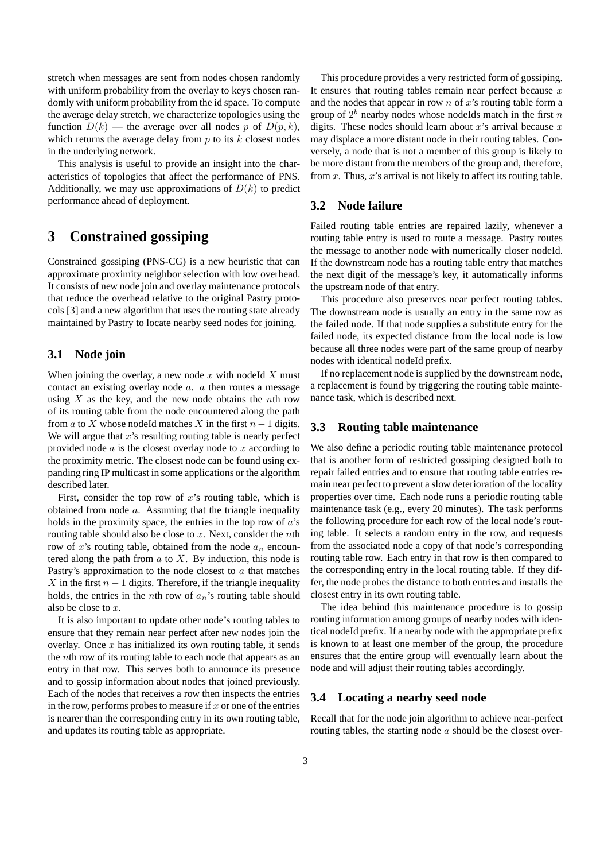stretch when messages are sent from nodes chosen randomly with uniform probability from the overlay to keys chosen randomly with uniform probability from the id space. To compute the average delay stretch, we characterize topologies using the function  $D(k)$  — the average over all nodes p of  $D(p, k)$ , which returns the average delay from  $p$  to its  $k$  closest nodes in the underlying network.

This analysis is useful to provide an insight into the characteristics of topologies that affect the performance of PNS. Additionally, we may use approximations of  $D(k)$  to predict performance ahead of deployment.

## **3 Constrained gossiping**

Constrained gossiping (PNS-CG) is a new heuristic that can approximate proximity neighbor selection with low overhead. It consists of new node join and overlay maintenance protocols that reduce the overhead relative to the original Pastry protocols [3] and a new algorithm that uses the routing state already maintained by Pastry to locate nearby seed nodes for joining.

## **3.1 Node join**

When joining the overlay, a new node  $x$  with nodeId  $X$  must contact an existing overlay node  $a$ .  $a$  then routes a message using  $X$  as the key, and the new node obtains the *n*th row of its routing table from the node encountered along the path from a to X whose nodeId matches X in the first  $n-1$  digits. We will argue that  $x$ 's resulting routing table is nearly perfect provided node  $a$  is the closest overlay node to  $x$  according to the proximity metric. The closest node can be found using expanding ring IP multicast in some applications or the algorithm described later.

First, consider the top row of  $x$ 's routing table, which is obtained from node a. Assuming that the triangle inequality holds in the proximity space, the entries in the top row of  $a$ 's routing table should also be close to  $x$ . Next, consider the *n*th row of x's routing table, obtained from the node  $a_n$  encountered along the path from  $a$  to  $X$ . By induction, this node is Pastry's approximation to the node closest to a that matches X in the first  $n - 1$  digits. Therefore, if the triangle inequality holds, the entries in the *n*th row of  $a_n$ 's routing table should also be close to x.

It is also important to update other node's routing tables to ensure that they remain near perfect after new nodes join the overlay. Once  $x$  has initialized its own routing table, it sends the *n*th row of its routing table to each node that appears as an entry in that row. This serves both to announce its presence and to gossip information about nodes that joined previously. Each of the nodes that receives a row then inspects the entries in the row, performs probes to measure if  $x$  or one of the entries is nearer than the corresponding entry in its own routing table, and updates its routing table as appropriate.

This procedure provides a very restricted form of gossiping. It ensures that routing tables remain near perfect because  $x$ and the nodes that appear in row  $n$  of  $x$ 's routing table form a group of  $2^b$  nearby nodes whose nodeIds match in the first n digits. These nodes should learn about  $x$ 's arrival because  $x$ may displace a more distant node in their routing tables. Conversely, a node that is not a member of this group is likely to be more distant from the members of the group and, therefore, from  $x$ . Thus,  $x$ 's arrival is not likely to affect its routing table.

### **3.2 Node failure**

Failed routing table entries are repaired lazily, whenever a routing table entry is used to route a message. Pastry routes the message to another node with numerically closer nodeId. If the downstream node has a routing table entry that matches the next digit of the message's key, it automatically informs the upstream node of that entry.

This procedure also preserves near perfect routing tables. The downstream node is usually an entry in the same row as the failed node. If that node supplies a substitute entry for the failed node, its expected distance from the local node is low because all three nodes were part of the same group of nearby nodes with identical nodeId prefix.

If no replacement node is supplied by the downstream node, a replacement is found by triggering the routing table maintenance task, which is described next.

#### **3.3 Routing table maintenance**

We also define a periodic routing table maintenance protocol that is another form of restricted gossiping designed both to repair failed entries and to ensure that routing table entries remain near perfect to prevent a slow deterioration of the locality properties over time. Each node runs a periodic routing table maintenance task (e.g., every 20 minutes). The task performs the following procedure for each row of the local node's routing table. It selects a random entry in the row, and requests from the associated node a copy of that node's corresponding routing table row. Each entry in that row is then compared to the corresponding entry in the local routing table. If they differ, the node probes the distance to both entries and installs the closest entry in its own routing table.

The idea behind this maintenance procedure is to gossip routing information among groups of nearby nodes with identical nodeId prefix. If a nearby node with the appropriate prefix is known to at least one member of the group, the procedure ensures that the entire group will eventually learn about the node and will adjust their routing tables accordingly.

## **3.4 Locating a nearby seed node**

Recall that for the node join algorithm to achieve near-perfect routing tables, the starting node  $a$  should be the closest over-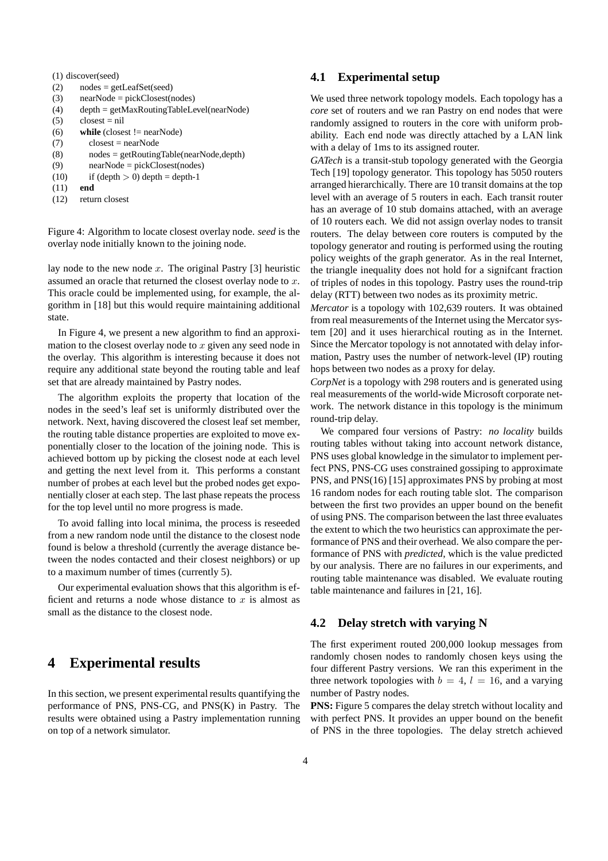```
(1) discover(seed)
```
- (2) nodes = getLeafSet(seed)
- (3) nearNode = pickClosest(nodes)
- $(4)$  depth = getMaxRoutingTableLevel(nearNode)
- $(5)$  closest = nil
- (6) **while** (closest != nearNode)
- $(7)$  closest = nearNode
- (8) nodes = getRoutingTable(nearNode,depth)
- (9) nearNode = pickClosest(nodes)
- (10) if  $(\text{depth} > 0) \text{ depth} = \text{depth} 1$
- (11) **end**
- (12) return closest

Figure 4: Algorithm to locate closest overlay node. *seed* is the overlay node initially known to the joining node.

lay node to the new node  $x$ . The original Pastry [3] heuristic assumed an oracle that returned the closest overlay node to x. This oracle could be implemented using, for example, the algorithm in [18] but this would require maintaining additional state.

In Figure 4, we present a new algorithm to find an approximation to the closest overlay node to  $x$  given any seed node in the overlay. This algorithm is interesting because it does not require any additional state beyond the routing table and leaf set that are already maintained by Pastry nodes.

The algorithm exploits the property that location of the nodes in the seed's leaf set is uniformly distributed over the network. Next, having discovered the closest leaf set member, the routing table distance properties are exploited to move exponentially closer to the location of the joining node. This is achieved bottom up by picking the closest node at each level and getting the next level from it. This performs a constant number of probes at each level but the probed nodes get exponentially closer at each step. The last phase repeats the process for the top level until no more progress is made.

To avoid falling into local minima, the process is reseeded from a new random node until the distance to the closest node found is below a threshold (currently the average distance between the nodes contacted and their closest neighbors) or up to a maximum number of times (currently 5).

Our experimental evaluation shows that this algorithm is efficient and returns a node whose distance to  $x$  is almost as small as the distance to the closest node.

# **4 Experimental results**

In this section, we present experimental results quantifying the performance of PNS, PNS-CG, and PNS(K) in Pastry. The results were obtained using a Pastry implementation running on top of a network simulator.

### **4.1 Experimental setup**

We used three network topology models. Each topology has a *core* set of routers and we ran Pastry on end nodes that were randomly assigned to routers in the core with uniform probability. Each end node was directly attached by a LAN link with a delay of 1ms to its assigned router.

*GATech* is a transit-stub topology generated with the Georgia Tech [19] topology generator. This topology has 5050 routers arranged hierarchically. There are 10 transit domains at the top level with an average of 5 routers in each. Each transit router has an average of 10 stub domains attached, with an average of 10 routers each. We did not assign overlay nodes to transit routers. The delay between core routers is computed by the topology generator and routing is performed using the routing policy weights of the graph generator. As in the real Internet, the triangle inequality does not hold for a signifcant fraction of triples of nodes in this topology. Pastry uses the round-trip delay (RTT) between two nodes as its proximity metric.

*Mercator* is a topology with 102,639 routers. It was obtained from real measurements of the Internet using the Mercator system [20] and it uses hierarchical routing as in the Internet. Since the Mercator topology is not annotated with delay information, Pastry uses the number of network-level (IP) routing hops between two nodes as a proxy for delay.

*CorpNet* is a topology with 298 routers and is generated using real measurements of the world-wide Microsoft corporate network. The network distance in this topology is the minimum round-trip delay.

We compared four versions of Pastry: *no locality* builds routing tables without taking into account network distance, PNS uses global knowledge in the simulator to implement perfect PNS, PNS-CG uses constrained gossiping to approximate PNS, and PNS(16) [15] approximates PNS by probing at most 16 random nodes for each routing table slot. The comparison between the first two provides an upper bound on the benefit of using PNS. The comparison between the last three evaluates the extent to which the two heuristics can approximate the performance of PNS and their overhead. We also compare the performance of PNS with *predicted*, which is the value predicted by our analysis. There are no failures in our experiments, and routing table maintenance was disabled. We evaluate routing table maintenance and failures in [21, 16].

### **4.2 Delay stretch with varying N**

The first experiment routed 200,000 lookup messages from randomly chosen nodes to randomly chosen keys using the four different Pastry versions. We ran this experiment in the three network topologies with  $b = 4$ ,  $l = 16$ , and a varying number of Pastry nodes.

**PNS:** Figure 5 compares the delay stretch without locality and with perfect PNS. It provides an upper bound on the benefit of PNS in the three topologies. The delay stretch achieved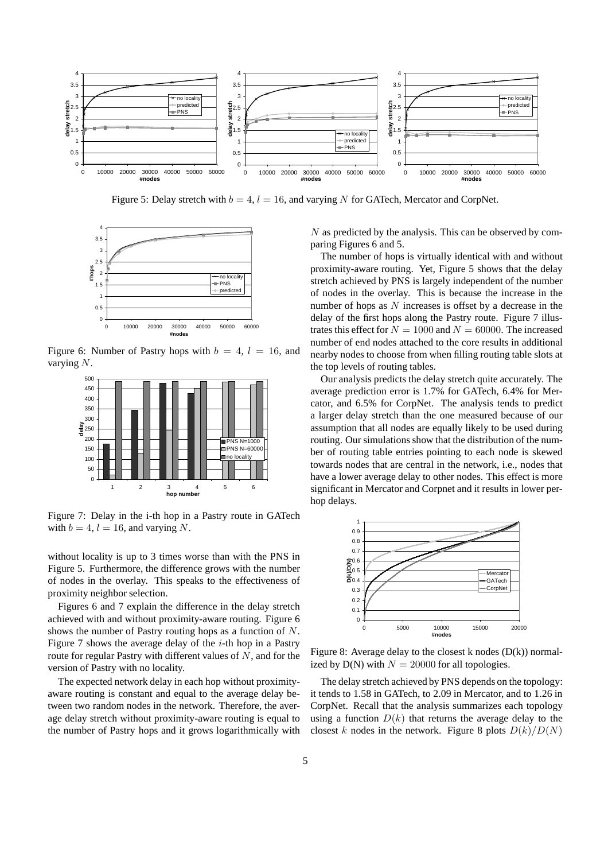

Figure 5: Delay stretch with  $b = 4$ ,  $l = 16$ , and varying N for GATech, Mercator and CorpNet.



Figure 6: Number of Pastry hops with  $b = 4$ ,  $l = 16$ , and varying N.



Figure 7: Delay in the i-th hop in a Pastry route in GATech with  $b = 4$ ,  $l = 16$ , and varying N.

without locality is up to 3 times worse than with the PNS in Figure 5. Furthermore, the difference grows with the number of nodes in the overlay. This speaks to the effectiveness of proximity neighbor selection.

Figures 6 and 7 explain the difference in the delay stretch achieved with and without proximity-aware routing. Figure 6 shows the number of Pastry routing hops as a function of N. Figure 7 shows the average delay of the  $i$ -th hop in a Pastry route for regular Pastry with different values of N, and for the version of Pastry with no locality.

The expected network delay in each hop without proximityaware routing is constant and equal to the average delay between two random nodes in the network. Therefore, the average delay stretch without proximity-aware routing is equal to the number of Pastry hops and it grows logarithmically with N as predicted by the analysis. This can be observed by comparing Figures 6 and 5.

The number of hops is virtually identical with and without proximity-aware routing. Yet, Figure 5 shows that the delay stretch achieved by PNS is largely independent of the number of nodes in the overlay. This is because the increase in the number of hops as  $N$  increases is offset by a decrease in the delay of the first hops along the Pastry route. Figure 7 illustrates this effect for  $N = 1000$  and  $N = 60000$ . The increased number of end nodes attached to the core results in additional nearby nodes to choose from when filling routing table slots at the top levels of routing tables.

Our analysis predicts the delay stretch quite accurately. The average prediction error is 1.7% for GATech, 6.4% for Mercator, and 6.5% for CorpNet. The analysis tends to predict a larger delay stretch than the one measured because of our assumption that all nodes are equally likely to be used during routing. Our simulations show that the distribution of the number of routing table entries pointing to each node is skewed towards nodes that are central in the network, i.e., nodes that have a lower average delay to other nodes. This effect is more significant in Mercator and Corpnet and it results in lower perhop delays.



Figure 8: Average delay to the closest k nodes  $(D(k))$  normalized by  $D(N)$  with  $N = 20000$  for all topologies.

The delay stretch achieved by PNS depends on the topology: it tends to 1.58 in GATech, to 2.09 in Mercator, and to 1.26 in CorpNet. Recall that the analysis summarizes each topology using a function  $D(k)$  that returns the average delay to the closest k nodes in the network. Figure 8 plots  $D(k)/D(N)$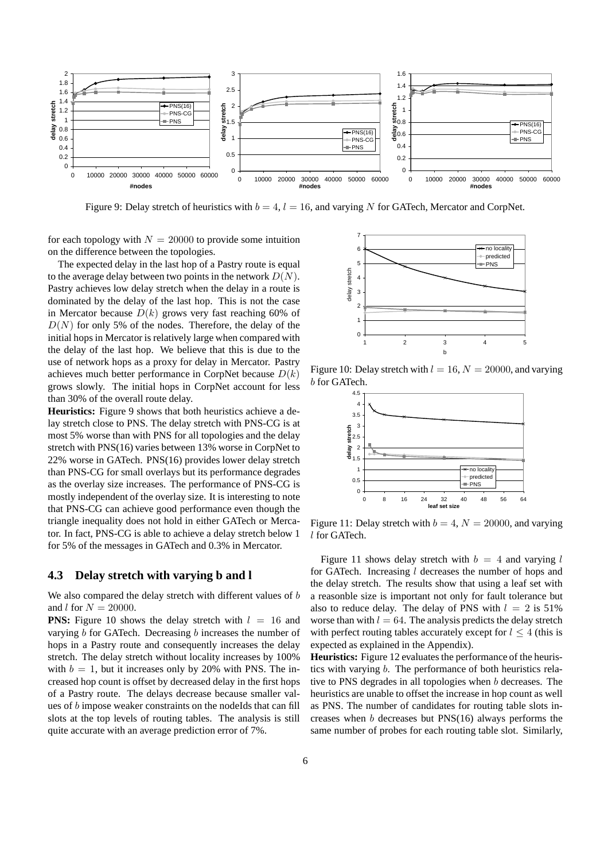

Figure 9: Delay stretch of heuristics with  $b = 4$ ,  $l = 16$ , and varying N for GATech, Mercator and CorpNet.

for each topology with  $N = 20000$  to provide some intuition on the difference between the topologies.

The expected delay in the last hop of a Pastry route is equal to the average delay between two points in the network  $D(N)$ . Pastry achieves low delay stretch when the delay in a route is dominated by the delay of the last hop. This is not the case in Mercator because  $D(k)$  grows very fast reaching 60% of  $D(N)$  for only 5% of the nodes. Therefore, the delay of the initial hops in Mercator is relatively large when compared with the delay of the last hop. We believe that this is due to the use of network hops as a proxy for delay in Mercator. Pastry achieves much better performance in CorpNet because  $D(k)$ grows slowly. The initial hops in CorpNet account for less than 30% of the overall route delay.

**Heuristics:** Figure 9 shows that both heuristics achieve a delay stretch close to PNS. The delay stretch with PNS-CG is at most 5% worse than with PNS for all topologies and the delay stretch with PNS(16) varies between 13% worse in CorpNet to 22% worse in GATech. PNS(16) provides lower delay stretch than PNS-CG for small overlays but its performance degrades as the overlay size increases. The performance of PNS-CG is mostly independent of the overlay size. It is interesting to note that PNS-CG can achieve good performance even though the triangle inequality does not hold in either GATech or Mercator. In fact, PNS-CG is able to achieve a delay stretch below 1 for 5% of the messages in GATech and 0.3% in Mercator.

#### **4.3 Delay stretch with varying b and l**

We also compared the delay stretch with different values of b and l for  $N = 20000$ .

**PNS:** Figure 10 shows the delay stretch with  $l = 16$  and varying b for GATech. Decreasing b increases the number of hops in a Pastry route and consequently increases the delay stretch. The delay stretch without locality increases by 100% with  $b = 1$ , but it increases only by 20% with PNS. The increased hop count is offset by decreased delay in the first hops of a Pastry route. The delays decrease because smaller values of b impose weaker constraints on the nodeIds that can fill slots at the top levels of routing tables. The analysis is still quite accurate with an average prediction error of 7%.



Figure 10: Delay stretch with  $l = 16$ ,  $N = 20000$ , and varying b for GATech.



Figure 11: Delay stretch with  $b = 4$ ,  $N = 20000$ , and varying l for GATech.

Figure 11 shows delay stretch with  $b = 4$  and varying l for GATech. Increasing  $l$  decreases the number of hops and the delay stretch. The results show that using a leaf set with a reasonble size is important not only for fault tolerance but also to reduce delay. The delay of PNS with  $l = 2$  is 51% worse than with  $l = 64$ . The analysis predicts the delay stretch with perfect routing tables accurately except for  $l \leq 4$  (this is expected as explained in the Appendix).

**Heuristics:** Figure 12 evaluates the performance of the heuristics with varying b. The performance of both heuristics relative to PNS degrades in all topologies when b decreases. The heuristics are unable to offset the increase in hop count as well as PNS. The number of candidates for routing table slots increases when  $b$  decreases but  $PNS(16)$  always performs the same number of probes for each routing table slot. Similarly,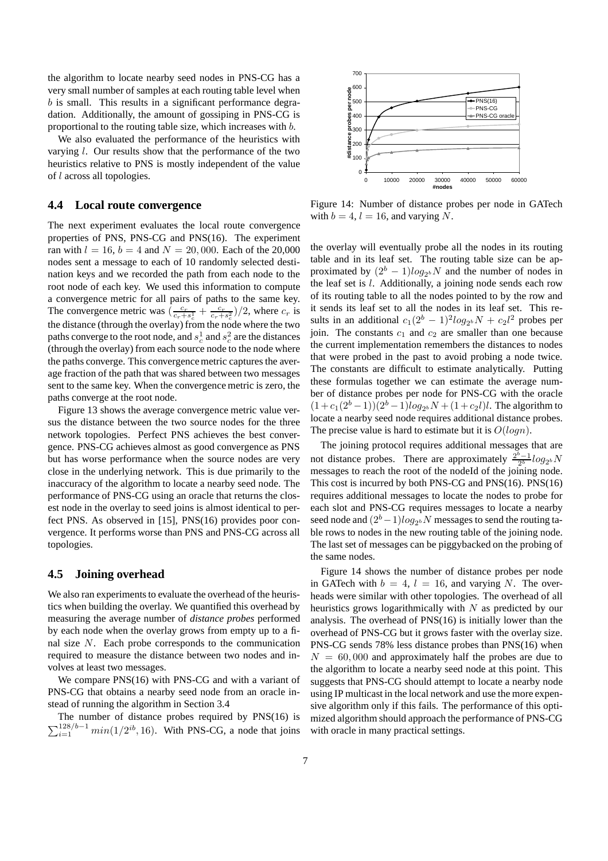the algorithm to locate nearby seed nodes in PNS-CG has a very small number of samples at each routing table level when b is small. This results in a significant performance degradation. Additionally, the amount of gossiping in PNS-CG is proportional to the routing table size, which increases with b.

We also evaluated the performance of the heuristics with varying  $l$ . Our results show that the performance of the two heuristics relative to PNS is mostly independent of the value of l across all topologies.

### **4.4 Local route convergence**

The next experiment evaluates the local route convergence properties of PNS, PNS-CG and PNS(16). The experiment ran with  $l = 16$ ,  $b = 4$  and  $N = 20,000$ . Each of the 20,000 nodes sent a message to each of 10 randomly selected destination keys and we recorded the path from each node to the root node of each key. We used this information to compute a convergence metric for all pairs of paths to the same key. The convergence metric was  $\left(\frac{c_r}{c_r+s_c^2}+\frac{c_r}{c_r+s_c^2}\right)/2$ , where  $c_r$  is the distance (through the overlay) from the node where the two paths converge to the root node, and  $s_c^1$  and  $s_c^2$  are the distances (through the overlay) from each source node to the node where the paths converge. This convergencemetric captures the average fraction of the path that was shared between two messages sent to the same key. When the convergence metric is zero, the paths converge at the root node.

Figure 13 shows the average convergence metric value versus the distance between the two source nodes for the three network topologies. Perfect PNS achieves the best convergence. PNS-CG achieves almost as good convergence as PNS but has worse performance when the source nodes are very close in the underlying network. This is due primarily to the inaccuracy of the algorithm to locate a nearby seed node. The performance of PNS-CG using an oracle that returns the closest node in the overlay to seed joins is almost identical to perfect PNS. As observed in [15], PNS(16) provides poor convergence. It performs worse than PNS and PNS-CG across all topologies.

#### **4.5 Joining overhead**

We also ran experiments to evaluate the overhead of the heuristics when building the overlay. We quantified this overhead by measuring the average number of *distance probes* performed by each node when the overlay grows from empty up to a final size N. Each probe corresponds to the communication required to measure the distance between two nodes and involves at least two messages.

We compare PNS(16) with PNS-CG and with a variant of PNS-CG that obtains a nearby seed node from an oracle instead of running the algorithm in Section 3.4

The number of distance probes required by PNS(16) is  $\sum_{i=1}^{128/b-1} min(1/2^{ib}, 16)$ . With PNS-CG, a node that joins



Figure 14: Number of distance probes per node in GATech with  $b = 4$ ,  $l = 16$ , and varying N.

the overlay will eventually probe all the nodes in its routing table and in its leaf set. The routing table size can be approximated by  $(2^b - 1)log_{2^b}N$  and the number of nodes in the leaf set is l. Additionally, a joining node sends each row of its routing table to all the nodes pointed to by the row and it sends its leaf set to all the nodes in its leaf set. This results in an additional  $c_1(2^b - 1)^2 log_{2^b} N + c_2 l^2$  probes per join. The constants  $c_1$  and  $c_2$  are smaller than one because the current implementation remembers the distances to nodes that were probed in the past to avoid probing a node twice. The constants are difficult to estimate analytically. Putting these formulas together we can estimate the average number of distance probes per node for PNS-CG with the oracle  $(1+c_1(2^b-1))(2^b-1)log_{2^b}N+(1+c_2l)l$ . The algorithm to locate a nearby seed node requires additional distance probes. The precise value is hard to estimate but it is  $O(logn)$ .

The joining protocol requires additional messages that are not distance probes. There are approximately  $\frac{2^b-1}{2^b}log_{2^b}N$ messages to reach the root of the nodeId of the joining node. This cost is incurred by both PNS-CG and PNS(16). PNS(16) requires additional messages to locate the nodes to probe for each slot and PNS-CG requires messages to locate a nearby seed node and  $(2^b-1)log_{2^b}N$  messages to send the routing table rows to nodes in the new routing table of the joining node. The last set of messages can be piggybacked on the probing of the same nodes.

Figure 14 shows the number of distance probes per node in GATech with  $b = 4$ ,  $l = 16$ , and varying N. The overheads were similar with other topologies. The overhead of all heuristics grows logarithmically with  $N$  as predicted by our analysis. The overhead of PNS(16) is initially lower than the overhead of PNS-CG but it grows faster with the overlay size. PNS-CG sends 78% less distance probes than PNS(16) when  $N = 60,000$  and approximately half the probes are due to the algorithm to locate a nearby seed node at this point. This suggests that PNS-CG should attempt to locate a nearby node using IP multicast in the local network and use the more expensive algorithm only if this fails. The performance of this optimized algorithm should approach the performance of PNS-CG with oracle in many practical settings.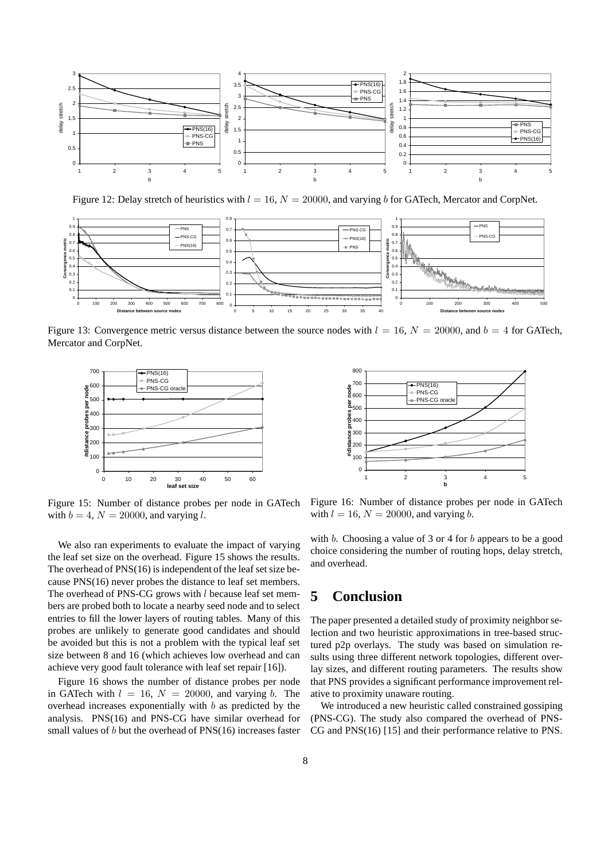

Figure 12: Delay stretch of heuristics with  $l = 16$ ,  $N = 20000$ , and varying b for GATech, Mercator and CorpNet.



Figure 13: Convergence metric versus distance between the source nodes with  $l = 16$ ,  $N = 20000$ , and  $b = 4$  for GATech, Mercator and CorpNet.



Figure 15: Number of distance probes per node in GATech with  $b = 4$ ,  $N = 20000$ , and varying l.

We also ran experiments to evaluate the impact of varying the leaf set size on the overhead. Figure 15 shows the results. The overhead of PNS(16) is independent of the leaf set size because PNS(16) never probes the distance to leaf set members. The overhead of PNS-CG grows with *l* because leaf set members are probed both to locate a nearby seed node and to select entries to fill the lower layers of routing tables. Many of this probes are unlikely to generate good candidates and should be avoided but this is not a problem with the typical leaf set size between 8 and 16 (which achieves low overhead and can achieve very good fault tolerance with leaf set repair [16]).

Figure 16 shows the number of distance probes per node in GATech with  $l = 16$ ,  $N = 20000$ , and varying b. The overhead increases exponentially with  $b$  as predicted by the analysis. PNS(16) and PNS-CG have similar overhead for small values of  $b$  but the overhead of  $PNS(16)$  increases faster



Figure 16: Number of distance probes per node in GATech with  $l = 16$ ,  $N = 20000$ , and varying b.

with b. Choosing a value of 3 or 4 for b appears to be a good choice considering the number of routing hops, delay stretch, and overhead.

## **5 Conclusion**

The paper presented a detailed study of proximity neighbor selection and two heuristic approximations in tree-based structured p2p overlays. The study was based on simulation results using three different network topologies, different overlay sizes, and different routing parameters. The results show that PNS provides a significant performance improvement relative to proximity unaware routing.

We introduced a new heuristic called constrained gossiping (PNS-CG). The study also compared the overhead of PNS-CG and PNS(16) [15] and their performance relative to PNS.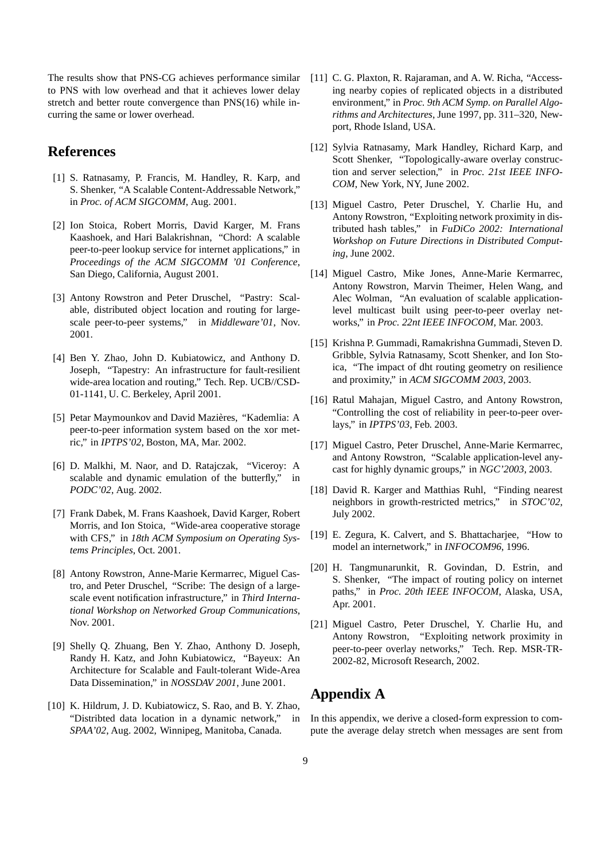The results show that PNS-CG achieves performance similar to PNS with low overhead and that it achieves lower delay stretch and better route convergence than PNS(16) while incurring the same or lower overhead.

# **References**

- [1] S. Ratnasamy, P. Francis, M. Handley, R. Karp, and S. Shenker, "A Scalable Content-Addressable Network," in *Proc. of ACM SIGCOMM*, Aug. 2001.
- [2] Ion Stoica, Robert Morris, David Karger, M. Frans Kaashoek, and Hari Balakrishnan, "Chord: A scalable peer-to-peer lookup service for internet applications," in *Proceedings of the ACM SIGCOMM '01 Conference*, San Diego, California, August 2001.
- [3] Antony Rowstron and Peter Druschel, "Pastry: Scalable, distributed object location and routing for largescale peer-to-peer systems," in *Middleware'01*, Nov. 2001.
- [4] Ben Y. Zhao, John D. Kubiatowicz, and Anthony D. Joseph, "Tapestry: An infrastructure for fault-resilient wide-area location and routing," Tech. Rep. UCB//CSD-01-1141, U. C. Berkeley, April 2001.
- [5] Petar Maymounkov and David Mazières, "Kademlia: A peer-to-peer information system based on the xor metric," in *IPTPS'02*, Boston, MA, Mar. 2002.
- [6] D. Malkhi, M. Naor, and D. Ratajczak, "Viceroy: A scalable and dynamic emulation of the butterfly," in *PODC'02*, Aug. 2002.
- [7] Frank Dabek, M. Frans Kaashoek, David Karger, Robert Morris, and Ion Stoica, "Wide-area cooperative storage with CFS," in *18th ACM Symposium on Operating Systems Principles*, Oct. 2001.
- [8] Antony Rowstron, Anne-Marie Kermarrec, Miguel Castro, and Peter Druschel, "Scribe: The design of a largescale event notification infrastructure," in *Third International Workshop on Networked Group Communications*, Nov. 2001.
- [9] Shelly Q. Zhuang, Ben Y. Zhao, Anthony D. Joseph, Randy H. Katz, and John Kubiatowicz, "Bayeux: An Architecture for Scalable and Fault-tolerant Wide-Area Data Dissemination," in *NOSSDAV 2001*, June 2001.
- [10] K. Hildrum, J. D. Kubiatowicz, S. Rao, and B. Y. Zhao, "Distribted data location in a dynamic network," in *SPAA'02*, Aug. 2002, Winnipeg, Manitoba, Canada.
- [11] C. G. Plaxton, R. Rajaraman, and A. W. Richa, "Accessing nearby copies of replicated objects in a distributed environment," in *Proc. 9th ACM Symp. on Parallel Algorithms and Architectures*, June 1997, pp. 311–320, Newport, Rhode Island, USA.
- [12] Sylvia Ratnasamy, Mark Handley, Richard Karp, and Scott Shenker, "Topologically-aware overlay construction and server selection," in *Proc. 21st IEEE INFO-COM*, New York, NY, June 2002.
- [13] Miguel Castro, Peter Druschel, Y. Charlie Hu, and Antony Rowstron, "Exploiting network proximity in distributed hash tables," in *FuDiCo 2002: International Workshop on Future Directions in Distributed Computing*, June 2002.
- [14] Miguel Castro, Mike Jones, Anne-Marie Kermarrec, Antony Rowstron, Marvin Theimer, Helen Wang, and Alec Wolman, "An evaluation of scalable applicationlevel multicast built using peer-to-peer overlay networks," in *Proc. 22nt IEEE INFOCOM*, Mar. 2003.
- [15] Krishna P. Gummadi, Ramakrishna Gummadi, Steven D. Gribble, Sylvia Ratnasamy, Scott Shenker, and Ion Stoica, "The impact of dht routing geometry on resilience and proximity," in *ACM SIGCOMM 2003*, 2003.
- [16] Ratul Mahajan, Miguel Castro, and Antony Rowstron, "Controlling the cost of reliability in peer-to-peer overlays," in *IPTPS'03*, Feb. 2003.
- [17] Miguel Castro, Peter Druschel, Anne-Marie Kermarrec, and Antony Rowstron, "Scalable application-level anycast for highly dynamic groups," in *NGC'2003*, 2003.
- [18] David R. Karger and Matthias Ruhl, "Finding nearest neighbors in growth-restricted metrics," in *STOC'02*, July 2002.
- [19] E. Zegura, K. Calvert, and S. Bhattacharjee, "How to model an internetwork," in *INFOCOM96*, 1996.
- [20] H. Tangmunarunkit, R. Govindan, D. Estrin, and S. Shenker, "The impact of routing policy on internet paths," in *Proc. 20th IEEE INFOCOM*, Alaska, USA, Apr. 2001.
- [21] Miguel Castro, Peter Druschel, Y. Charlie Hu, and Antony Rowstron, "Exploiting network proximity in peer-to-peer overlay networks," Tech. Rep. MSR-TR-2002-82, Microsoft Research, 2002.

# **Appendix A**

In this appendix, we derive a closed-form expression to compute the average delay stretch when messages are sent from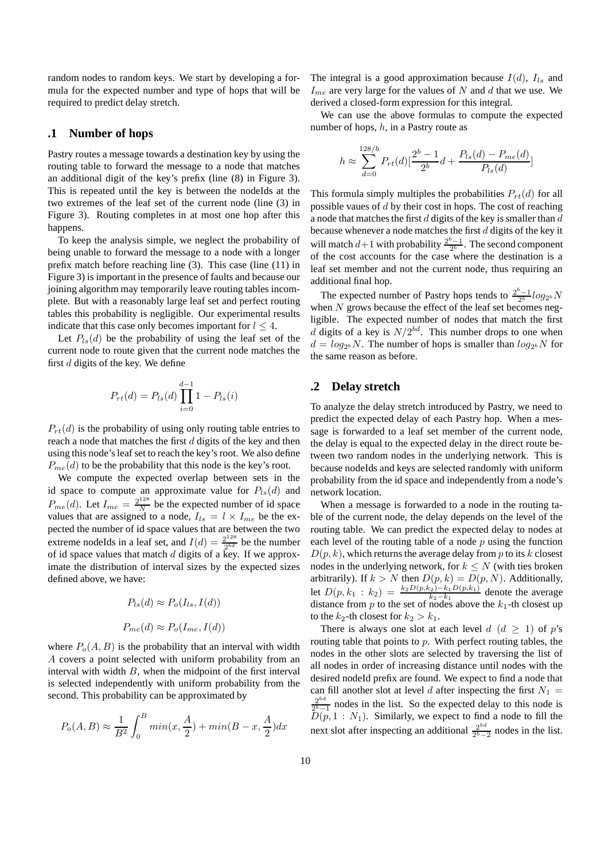random nodes to random keys. We start by developing a formula for the expected number and type of hops that will be required to predict delay stretch.

#### **.1 Number of hops**

Pastry routes a message towards a destination key by using the routing table to forward the message to a node that matches an additional digit of the key's prefix (line (8) in Figure 3). This is repeated until the key is between the nodeIds at the two extremes of the leaf set of the current node (line (3) in Figure 3). Routing completes in at most one hop after this happens.

To keep the analysis simple, we neglect the probability of being unable to forward the message to a node with a longer prefix match before reaching line (3). This case (line (11) in Figure 3) is important in the presence of faults and because our joining algorithm may temporarily leave routing tables incomplete. But with a reasonably large leaf set and perfect routing tables this probability is negligible. Our experimental results indicate that this case only becomes important for  $l \leq 4$ .

Let  $P_{ls}(d)$  be the probability of using the leaf set of the current node to route given that the current node matches the first  $d$  digits of the key. We define

$$
P_{rt}(d) = P_{ls}(d) \prod_{i=0}^{d-1} 1 - P_{ls}(i)
$$

 $P_{rt}(d)$  is the probability of using only routing table entries to reach a node that matches the first  $d$  digits of the key and then using this node's leaf set to reach the key's root. We also define  $P_{me}(d)$  to be the probability that this node is the key's root.

We compute the expected overlap between sets in the id space to compute an approximate value for  $P_{ls}(d)$  and  $P_{me}(d)$ . Let  $I_{me} = \frac{2^{128}}{N}$  $\frac{120}{N}$  be the expected number of id space values that are assigned to a node,  $I_{ls} = l \times I_{me}$  be the expected the number of id space values that are between the two extreme nodeIds in a leaf set, and  $I(d) = \frac{2^{128}}{2^{bd}}$  be the number of id space values that match  $d$  digits of a key. If we approximate the distribution of interval sizes by the expected sizes defined above, we have:

$$
P_{ls}(d) \approx P_o(I_{ls}, I(d))
$$
  

$$
P_{me}(d) \approx P_o(I_{me}, I(d))
$$

where  $P<sub>o</sub>(A, B)$  is the probability that an interval with width A covers a point selected with uniform probability from an interval with width  $B$ , when the midpoint of the first interval is selected independently with uniform probability from the second. This probability can be approximated by

$$
P_o(A, B) \approx \frac{1}{B^2} \int_0^B min(x, \frac{A}{2}) + min(B - x, \frac{A}{2}) dx
$$

The integral is a good approximation because  $I(d)$ ,  $I_{ls}$  and  $I_{me}$  are very large for the values of N and d that we use. We derived a closed-form expression for this integral.

We can use the above formulas to compute the expected number of hops,  $h$ , in a Pastry route as

$$
h \approx \sum_{d=0}^{128/b} P_{rt}(d) \left[ \frac{2^b - 1}{2^b} d + \frac{P_{ls}(d) - P_{me}(d)}{P_{ls}(d)} \right]
$$

This formula simply multiples the probabilities  $P_{rt}(d)$  for all possible vaues of  $d$  by their cost in hops. The cost of reaching a node that matches the first  $d$  digits of the key is smaller than  $d$ because whenever a node matches the first  $d$  digits of the key it will match  $d+1$  with probability  $\frac{2^b-1}{2^b}$ . The second component of the cost accounts for the case where the destination is a leaf set member and not the current node, thus requiring an additional final hop.

The expected number of Pastry hops tends to  $\frac{2^b-1}{2^b}log_{2^b}N$ when  $N$  grows because the effect of the leaf set becomes negligible. The expected number of nodes that match the first d digits of a key is  $N/2^{bd}$ . This number drops to one when  $d = log_{2b}N$ . The number of hops is smaller than  $log_{2b}N$  for the same reason as before.

#### **.2 Delay stretch**

To analyze the delay stretch introduced by Pastry, we need to predict the expected delay of each Pastry hop. When a message is forwarded to a leaf set member of the current node, the delay is equal to the expected delay in the direct route between two random nodes in the underlying network. This is because nodeIds and keys are selected randomly with uniform probability from the id space and independently from a node's network location.

When a message is forwarded to a node in the routing table of the current node, the delay depends on the level of the routing table. We can predict the expected delay to nodes at each level of the routing table of a node  $p$  using the function  $D(p, k)$ , which returns the average delay from p to its k closest nodes in the underlying network, for  $k \leq N$  (with ties broken arbitrarily). If  $k > N$  then  $D(p, k) = D(p, N)$ . Additionally, let  $D(p, k_1 : k_2) = \frac{k_2 D(p, k_2) - k_1 D(p, k_1)}{k_2 - k_1}$  $\frac{k_2-k_1D(p,k_1)}{k_2-k_1}$  denote the average distance from  $p$  to the set of nodes above the  $k_1$ -th closest up to the  $k_2$ -th closest for  $k_2 > k_1$ .

There is always one slot at each level  $d$   $(d \ge 1)$  of  $p$ 's routing table that points to  $p$ . With perfect routing tables, the nodes in the other slots are selected by traversing the list of all nodes in order of increasing distance until nodes with the desired nodeId prefix are found. We expect to find a node that can fill another slot at level d after inspecting the first  $N_1 =$  $2^{bd}$  $\frac{2^{b} - 1}{2^{b} - 1}$  nodes in the list. So the expected delay to this node is  $D(p, 1 : N_1)$ . Similarly, we expect to find a node to fill the next slot after inspecting an additional  $\frac{2^{bd}}{2^b}$  $\frac{2^{6a}}{2^b-2}$  nodes in the list.